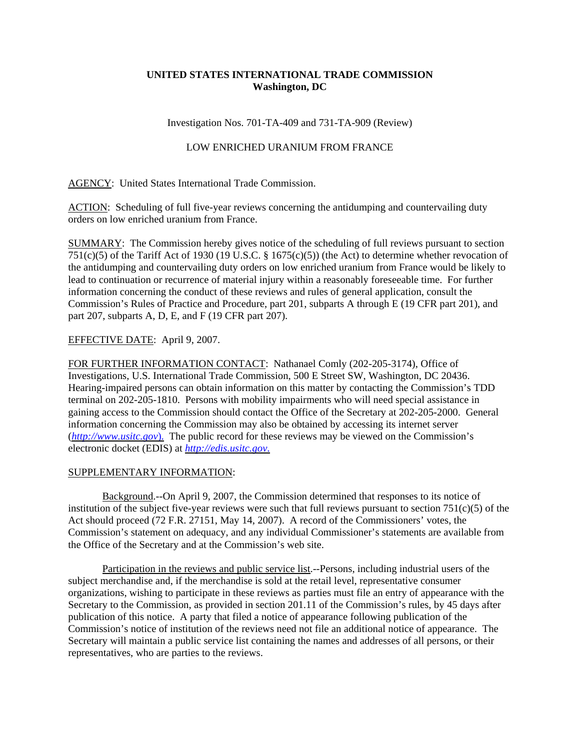## **UNITED STATES INTERNATIONAL TRADE COMMISSION Washington, DC**

Investigation Nos. 701-TA-409 and 731-TA-909 (Review)

## LOW ENRICHED URANIUM FROM FRANCE

AGENCY: United States International Trade Commission.

ACTION: Scheduling of full five-year reviews concerning the antidumping and countervailing duty orders on low enriched uranium from France.

SUMMARY: The Commission hereby gives notice of the scheduling of full reviews pursuant to section 751(c)(5) of the Tariff Act of 1930 (19 U.S.C. § 1675(c)(5)) (the Act) to determine whether revocation of the antidumping and countervailing duty orders on low enriched uranium from France would be likely to lead to continuation or recurrence of material injury within a reasonably foreseeable time. For further information concerning the conduct of these reviews and rules of general application, consult the Commission's Rules of Practice and Procedure, part 201, subparts A through E (19 CFR part 201), and part 207, subparts A, D, E, and F (19 CFR part 207).

## EFFECTIVE DATE: April 9, 2007.

FOR FURTHER INFORMATION CONTACT: Nathanael Comly (202-205-3174), Office of Investigations, U.S. International Trade Commission, 500 E Street SW, Washington, DC 20436. Hearing-impaired persons can obtain information on this matter by contacting the Commission's TDD terminal on 202-205-1810. Persons with mobility impairments who will need special assistance in gaining access to the Commission should contact the Office of the Secretary at 202-205-2000. General information concerning the Commission may also be obtained by accessing its internet server (*http://www.usitc.gov*). The public record for these reviews may be viewed on the Commission's electronic docket (EDIS) at *http://edis.usitc.gov*.

## SUPPLEMENTARY INFORMATION:

Background.--On April 9, 2007, the Commission determined that responses to its notice of institution of the subject five-year reviews were such that full reviews pursuant to section  $751(c)(5)$  of the Act should proceed (72 F.R. 27151, May 14, 2007). A record of the Commissioners' votes, the Commission's statement on adequacy, and any individual Commissioner's statements are available from the Office of the Secretary and at the Commission's web site.

Participation in the reviews and public service list.--Persons, including industrial users of the subject merchandise and, if the merchandise is sold at the retail level, representative consumer organizations, wishing to participate in these reviews as parties must file an entry of appearance with the Secretary to the Commission, as provided in section 201.11 of the Commission's rules, by 45 days after publication of this notice. A party that filed a notice of appearance following publication of the Commission's notice of institution of the reviews need not file an additional notice of appearance. The Secretary will maintain a public service list containing the names and addresses of all persons, or their representatives, who are parties to the reviews.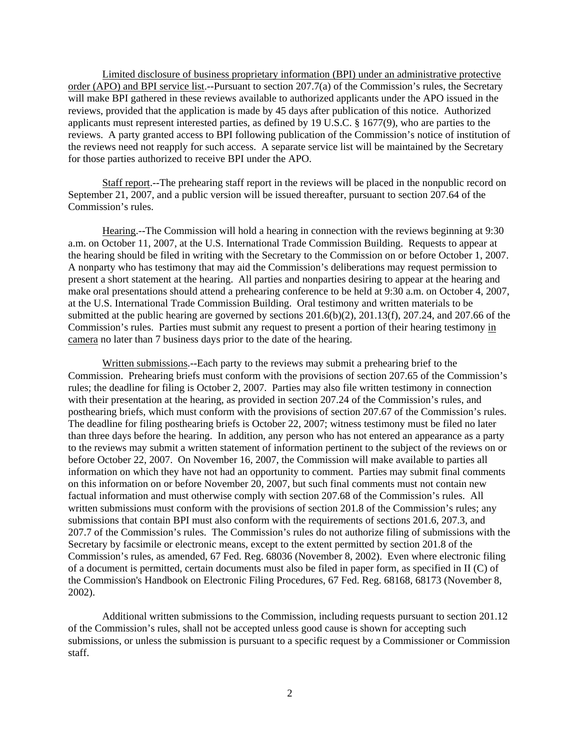Limited disclosure of business proprietary information (BPI) under an administrative protective order (APO) and BPI service list.--Pursuant to section 207.7(a) of the Commission's rules, the Secretary will make BPI gathered in these reviews available to authorized applicants under the APO issued in the reviews, provided that the application is made by 45 days after publication of this notice. Authorized applicants must represent interested parties, as defined by 19 U.S.C. § 1677(9), who are parties to the reviews. A party granted access to BPI following publication of the Commission's notice of institution of the reviews need not reapply for such access. A separate service list will be maintained by the Secretary for those parties authorized to receive BPI under the APO.

Staff report.--The prehearing staff report in the reviews will be placed in the nonpublic record on September 21, 2007, and a public version will be issued thereafter, pursuant to section 207.64 of the Commission's rules.

Hearing.--The Commission will hold a hearing in connection with the reviews beginning at 9:30 a.m. on October 11, 2007, at the U.S. International Trade Commission Building. Requests to appear at the hearing should be filed in writing with the Secretary to the Commission on or before October 1, 2007. A nonparty who has testimony that may aid the Commission's deliberations may request permission to present a short statement at the hearing. All parties and nonparties desiring to appear at the hearing and make oral presentations should attend a prehearing conference to be held at 9:30 a.m. on October 4, 2007, at the U.S. International Trade Commission Building. Oral testimony and written materials to be submitted at the public hearing are governed by sections  $201.6(b)(2)$ ,  $201.13(f)$ ,  $207.24$ , and  $207.66$  of the Commission's rules. Parties must submit any request to present a portion of their hearing testimony in camera no later than 7 business days prior to the date of the hearing.

Written submissions.--Each party to the reviews may submit a prehearing brief to the Commission. Prehearing briefs must conform with the provisions of section 207.65 of the Commission's rules; the deadline for filing is October 2, 2007. Parties may also file written testimony in connection with their presentation at the hearing, as provided in section 207.24 of the Commission's rules, and posthearing briefs, which must conform with the provisions of section 207.67 of the Commission's rules. The deadline for filing posthearing briefs is October 22, 2007; witness testimony must be filed no later than three days before the hearing. In addition, any person who has not entered an appearance as a party to the reviews may submit a written statement of information pertinent to the subject of the reviews on or before October 22, 2007. On November 16, 2007, the Commission will make available to parties all information on which they have not had an opportunity to comment. Parties may submit final comments on this information on or before November 20, 2007, but such final comments must not contain new factual information and must otherwise comply with section 207.68 of the Commission's rules. All written submissions must conform with the provisions of section 201.8 of the Commission's rules; any submissions that contain BPI must also conform with the requirements of sections 201.6, 207.3, and 207.7 of the Commission's rules. The Commission's rules do not authorize filing of submissions with the Secretary by facsimile or electronic means, except to the extent permitted by section 201.8 of the Commission's rules, as amended, 67 Fed. Reg. 68036 (November 8, 2002). Even where electronic filing of a document is permitted, certain documents must also be filed in paper form, as specified in II (C) of the Commission's Handbook on Electronic Filing Procedures, 67 Fed. Reg. 68168, 68173 (November 8, 2002).

Additional written submissions to the Commission, including requests pursuant to section 201.12 of the Commission's rules, shall not be accepted unless good cause is shown for accepting such submissions, or unless the submission is pursuant to a specific request by a Commissioner or Commission staff.